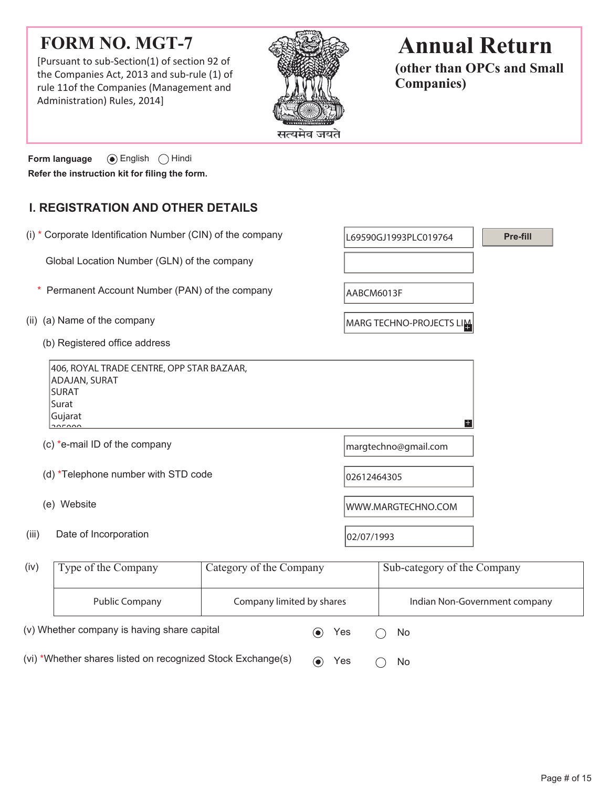# **FORM NO. MGT-7**

[Pursuant to sub-Section(1) of section 92 of the Companies Act, 2013 and sub-rule (1) of rule 11of the Companies (Management and Administration) Rules, 2014]



# **Annual Return**

**(other than OPCs and Small Companies)**

**Form language**  $\odot$  English  $\odot$  Hindi **Refer the instruction kit for filing the form.**

## **I. REGISTRATION AND OTHER DETAILS**

| (i) * Corporate Identification Number (CIN) of the company                                                                               |                                               | L69590GJ1993PLC019764     |                          | Pre-fill                    |                               |
|------------------------------------------------------------------------------------------------------------------------------------------|-----------------------------------------------|---------------------------|--------------------------|-----------------------------|-------------------------------|
| Global Location Number (GLN) of the company                                                                                              |                                               |                           |                          |                             |                               |
|                                                                                                                                          | Permanent Account Number (PAN) of the company |                           | AABCM6013F               |                             |                               |
|                                                                                                                                          | (ii) (a) Name of the company                  |                           | MARG TECHNO-PROJECTS LIM |                             |                               |
|                                                                                                                                          | (b) Registered office address                 |                           |                          |                             |                               |
| 406, ROYAL TRADE CENTRE, OPP STAR BAZAAR,<br><b>ADAJAN, SURAT</b><br><b>SURAT</b><br>Surat<br>Gujarat<br>$+$<br>$\overline{\phantom{a}}$ |                                               |                           |                          |                             |                               |
|                                                                                                                                          | (c) *e-mail ID of the company                 |                           | margtechno@gmail.com     |                             |                               |
|                                                                                                                                          | (d) *Telephone number with STD code           |                           | 02612464305              |                             |                               |
| (e) Website                                                                                                                              |                                               |                           | WWW.MARGTECHNO.COM       |                             |                               |
| (iii)<br>Date of Incorporation                                                                                                           |                                               | 02/07/1993                |                          |                             |                               |
| (iv)                                                                                                                                     | Type of the Company                           | Category of the Company   |                          | Sub-category of the Company |                               |
|                                                                                                                                          | <b>Public Company</b>                         | Company limited by shares |                          |                             | Indian Non-Government company |

(vi) \*Whether shares listed on recognized Stock Exchange(s)  $\qquad \qquad \bullet \qquad \text{Yes} \qquad \bigcirc \quad \text{No}$ 

(v) Whether company is having share capital  $\bullet$  Yes  $\circ$  No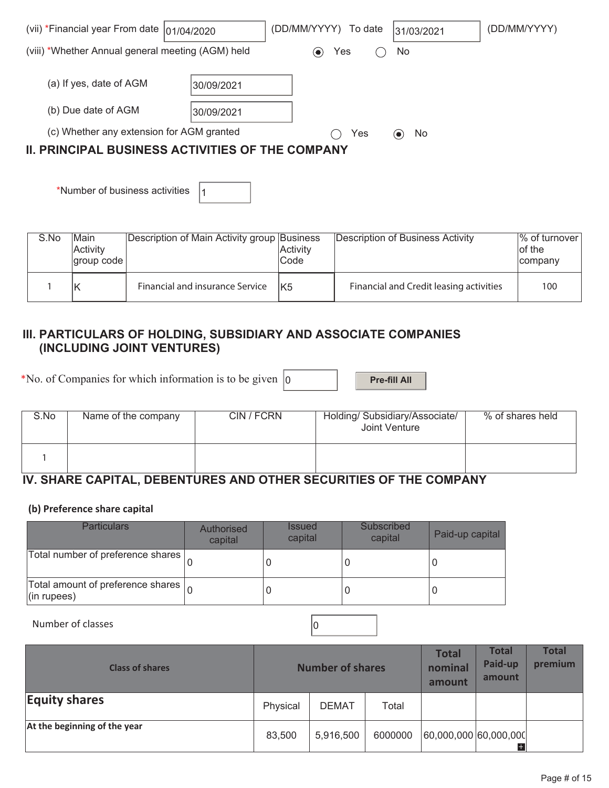| (vii) *Financial year From date $ 01/04/2020$                                                                            |                           | (DD/MM/YYYY) To date |     | 31/03/2021 | (DD/MM/YYYY) |  |
|--------------------------------------------------------------------------------------------------------------------------|---------------------------|----------------------|-----|------------|--------------|--|
| (viii) *Whether Annual general meeting (AGM) held                                                                        |                           | $(\bullet)$          | Yes | No         |              |  |
| (a) If yes, date of AGM<br>(b) Due date of AGM                                                                           | 30/09/2021<br> 30/09/2021 |                      |     |            |              |  |
| (c) Whether any extension for AGM granted<br>Yes<br>No<br>(●)<br><b>II. PRINCIPAL BUSINESS ACTIVITIES OF THE COMPANY</b> |                           |                      |     |            |              |  |

\*Number of business activities  $|_1$ 

| S.No | lMain<br>Activity<br> group code | Description of Main Activity group Business | <b>Activity</b><br>Code | Description of Business Activity        | $\%$ of turnover<br>lof the<br>company |
|------|----------------------------------|---------------------------------------------|-------------------------|-----------------------------------------|----------------------------------------|
|      |                                  | Financial and insurance Service             | IK <sub>5</sub>         | Financial and Credit leasing activities | 100                                    |

#### **III. PARTICULARS OF HOLDING, SUBSIDIARY AND ASSOCIATE COMPANIES (INCLUDING JOINT VENTURES)**

\*No. of Companies for which information is to be given  $\vert_0$  **Pre-fill All** 

| S.No | Name of the company | CIN / FCRN | Holding/ Subsidiary/Associate/<br>Joint Venture | % of shares held |
|------|---------------------|------------|-------------------------------------------------|------------------|
|      |                     |            |                                                 |                  |

## **IV. SHARE CAPITAL, DEBENTURES AND OTHER SECURITIES OF THE COMPANY**

#### **(b) Preference share capital**

| <b>Particulars</b>                                                      | Authorised<br>capital | <b>Issued</b><br>capital | Subscribed<br>capital | Paid-up capital |
|-------------------------------------------------------------------------|-----------------------|--------------------------|-----------------------|-----------------|
| Total number of preference shares                                       |                       |                          |                       |                 |
| Total amount of preference shares $\vert_{\Omega}$<br>$($ in rupees $)$ |                       |                          |                       |                 |

Number of classes  $\vert$  0

| <b>Class of shares</b>       | <b>Number of shares</b> |              |         | <b>Total</b><br>nominal<br>amount | <b>Total</b><br>Paid-up<br>amount | <b>Total</b><br>premium |
|------------------------------|-------------------------|--------------|---------|-----------------------------------|-----------------------------------|-------------------------|
| <b>Equity shares</b>         | Physical                | <b>DEMAT</b> | Total   |                                   |                                   |                         |
| At the beginning of the year | 83,500                  | 5,916,500    | 6000000 | 60,000,000 60,000,000             | $\pm$                             |                         |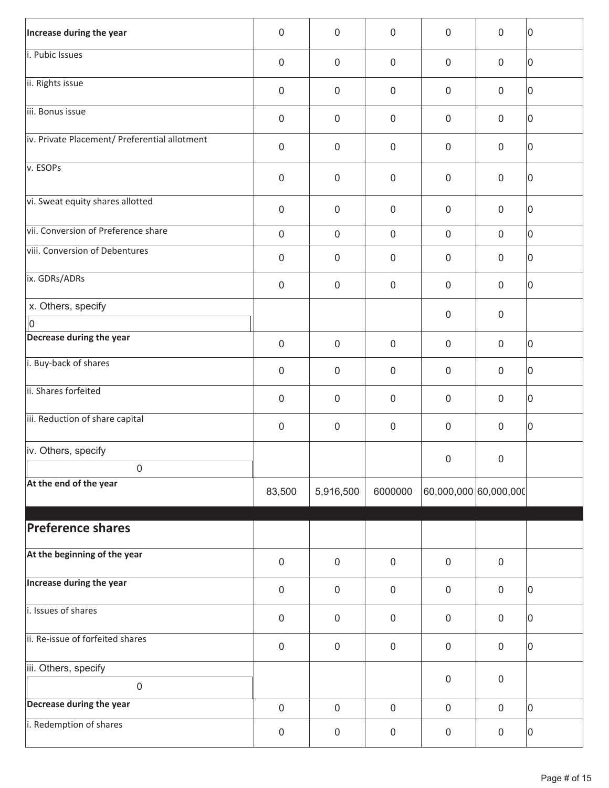| Increase during the year                            | $\mathbf 0$         | $\mathbf 0$      | $\mathbf 0$         | $\mathbf 0$           | $\mathbf 0$      | 10 |
|-----------------------------------------------------|---------------------|------------------|---------------------|-----------------------|------------------|----|
| i. Pubic Issues                                     | $\mathbf 0$         | $\mathbf 0$      | $\mathbf 0$         | $\mathbf 0$           | $\mathbf 0$      | 10 |
| ii. Rights issue                                    | $\mathbf 0$         | $\mathbf 0$      | $\pmb{0}$           | $\mathbf 0$           | $\mathbf 0$      | 10 |
| iii. Bonus issue                                    | $\mathbf 0$         | $\mathbf 0$      | $\mathsf{O}\xspace$ | $\mathbf 0$           | $\mathbf 0$      | 10 |
| iv. Private Placement/ Preferential allotment       | $\mathbf 0$         | $\mathbf 0$      | $\mathbf 0$         | $\mathbf 0$           | $\mathbf 0$      | 10 |
| v. ESOPs                                            | $\mathbf 0$         | $\mathbf 0$      | $\mathbf 0$         | $\mathbf 0$           | $\mathbf 0$      | 0  |
| vi. Sweat equity shares allotted                    | $\mathbf 0$         | $\mathbf 0$      | $\pmb{0}$           | $\mathbf 0$           | $\mathbf 0$      | 10 |
| vii. Conversion of Preference share                 | $\mathsf{O}\xspace$ | $\mathbf 0$      | $\mathbf 0$         | $\mathbf 0$           | $\mathbf 0$      | 10 |
| viii. Conversion of Debentures                      | $\mathbf 0$         | $\mathbf 0$      | $\mathbf 0$         | $\mathbf 0$           | $\mathbf 0$      | 10 |
| ix. GDRs/ADRs                                       | $\mathbf 0$         | $\mathbf 0$      | $\mathbf 0$         | $\mathbf 0$           | $\mathbf 0$      | 10 |
| x. Others, specify                                  |                     |                  |                     | $\mathbf 0$           | $\mathbf 0$      |    |
| $\overline{\mathsf{I}}$<br>Decrease during the year | $\mathbf 0$         | $\mathbf 0$      | $\mathbf 0$         | $\mathbf 0$           | $\mathbf 0$      | 10 |
| i. Buy-back of shares                               |                     |                  |                     |                       |                  |    |
|                                                     | $\mathbf 0$         | $\mathbf 0$      | $\mathbf 0$         | $\mathbf 0$           | $\mathbf 0$      | 10 |
| ii. Shares forfeited                                | $\boldsymbol{0}$    | $\mathbf 0$      | $\mathbf 0$         | $\mathbf 0$           | $\mathbf 0$      | 0  |
| iii. Reduction of share capital                     | $\boldsymbol{0}$    | $\boldsymbol{0}$ | $\boldsymbol{0}$    | $\mathbf 0$           | $\mathbf 0$      | 10 |
| iv. Others, specify                                 |                     |                  |                     | $\boldsymbol{0}$      |                  |    |
| $\mathbf 0$                                         |                     |                  |                     |                       | $\pmb{0}$        |    |
| At the end of the year                              | 83,500              | 5,916,500        | 6000000             | 60,000,000 60,000,000 |                  |    |
|                                                     |                     |                  |                     |                       |                  |    |
| <b>Preference shares</b>                            |                     |                  |                     |                       |                  |    |
| At the beginning of the year                        | $\mathsf 0$         | $\mathbf 0$      | $\pmb{0}$           | $\mathbf 0$           | $\mathbf 0$      |    |
| Increase during the year                            | $\mathbf 0$         | $\mathbf 0$      | $\pmb{0}$           | $\mathbf 0$           | $\mathbf 0$      | 0  |
| i. Issues of shares                                 | $\mathbf 0$         | $\mathbf 0$      | $\pmb{0}$           | $\mathbf 0$           | $\mathbf 0$      | 10 |
| ii. Re-issue of forfeited shares                    | $\mathbf 0$         | $\mathbf 0$      | $\pmb{0}$           | $\mathbf 0$           | $\mathbf 0$      | 10 |
| iii. Others, specify                                |                     |                  |                     |                       |                  |    |
| $\mathbf 0$                                         |                     |                  |                     | $\boldsymbol{0}$      | $\mathbf 0$      |    |
| Decrease during the year                            | $\mathsf{O}\xspace$ | $\mathbf 0$      | $\mathsf{O}\xspace$ | $\mathbf 0$           | $\boldsymbol{0}$ | 10 |
| i. Redemption of shares                             | $\boldsymbol{0}$    | $\mathsf 0$      | $\pmb{0}$           | $\mathsf 0$           | $\mathbf 0$      | 10 |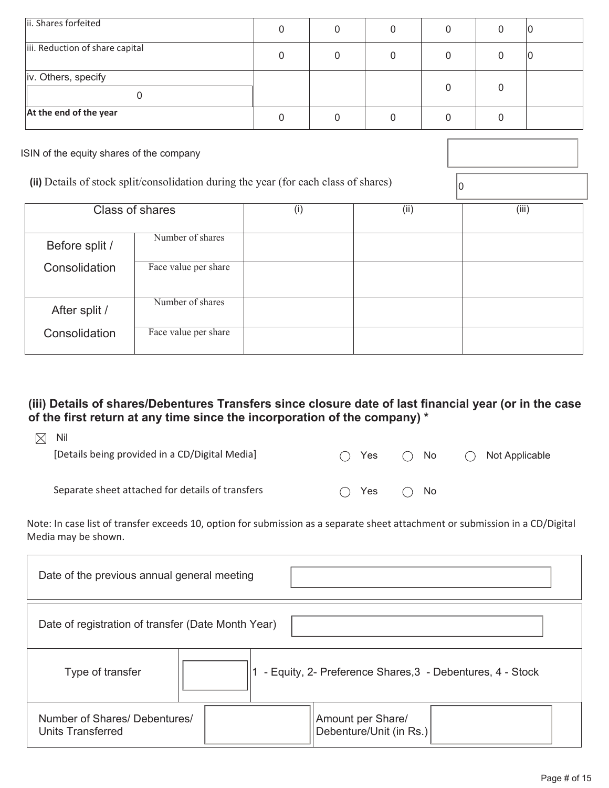| ii. Shares forfeited            | 0 |   | ιU |
|---------------------------------|---|---|----|
| iii. Reduction of share capital |   |   | ιU |
| iv. Others, specify             |   | O |    |
| At the end of the year          |   |   |    |
|                                 |   |   |    |

ISIN of the equity shares of the company

(ii) Details of stock split/consolidation during the year (for each class of shares)  $\boxed{0}$ 

|                | <b>Class of shares</b> | (i) | (i) | (iii) |
|----------------|------------------------|-----|-----|-------|
| Before split / | Number of shares       |     |     |       |
| Consolidation  | Face value per share   |     |     |       |
| After split /  | Number of shares       |     |     |       |
| Consolidation  | Face value per share   |     |     |       |

## **(iii) Details of shares/Debentures Transfers since closure date of last financial year (or in the case of the first return at any time since the incorporation of the company) \***

| M | Nil<br>[Details being provided in a CD/Digital Media] | Yes | $\bigcap$ No | Not Applicable<br>( |
|---|-------------------------------------------------------|-----|--------------|---------------------|
|   | Separate sheet attached for details of transfers      | Yes | $\bigcap$ No |                     |

Note: In case list of transfer exceeds 10, option for submission as a separate sheet attachment or submission in a CD/Digital Media may be shown.

| Date of the previous annual general meeting                                   |                                              |  |  |  |  |
|-------------------------------------------------------------------------------|----------------------------------------------|--|--|--|--|
| Date of registration of transfer (Date Month Year)                            |                                              |  |  |  |  |
| - Equity, 2- Preference Shares, 3 - Debentures, 4 - Stock<br>Type of transfer |                                              |  |  |  |  |
| Number of Shares/ Debentures/<br><b>Units Transferred</b>                     | Amount per Share/<br>Debenture/Unit (in Rs.) |  |  |  |  |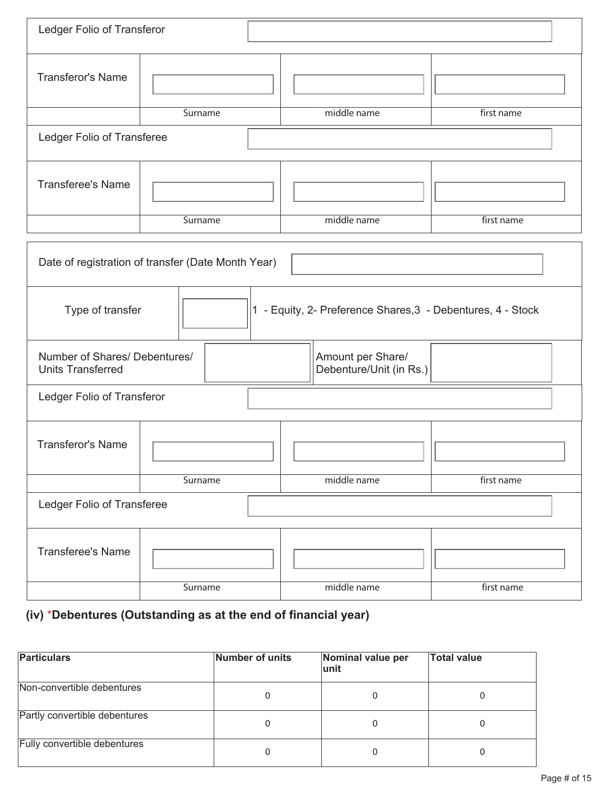| Ledger Folio of Transferor                                |                            |                                                             |            |  |  |  |
|-----------------------------------------------------------|----------------------------|-------------------------------------------------------------|------------|--|--|--|
| <b>Transferor's Name</b>                                  |                            |                                                             |            |  |  |  |
|                                                           | Surname                    | middle name                                                 | first name |  |  |  |
| Ledger Folio of Transferee                                |                            |                                                             |            |  |  |  |
| <b>Transferee's Name</b>                                  |                            |                                                             |            |  |  |  |
|                                                           | Surname                    | middle name                                                 | first name |  |  |  |
| Date of registration of transfer (Date Month Year)        |                            |                                                             |            |  |  |  |
| Type of transfer                                          |                            | 1 - Equity, 2- Preference Shares, 3 - Debentures, 4 - Stock |            |  |  |  |
| Number of Shares/ Debentures/<br><b>Units Transferred</b> |                            | Amount per Share/<br>Debenture/Unit (in Rs.)                |            |  |  |  |
| Ledger Folio of Transferor                                |                            |                                                             |            |  |  |  |
| <b>Transferor's Name</b>                                  |                            |                                                             |            |  |  |  |
|                                                           | Surname                    | middle name                                                 | first name |  |  |  |
|                                                           | Ledger Folio of Transferee |                                                             |            |  |  |  |
| <b>Transferee's Name</b>                                  |                            |                                                             |            |  |  |  |
|                                                           | Surname                    | middle name                                                 | first name |  |  |  |

# **(iv)** \***Debentures (Outstanding as at the end of financial year)**

| <b>Particulars</b>            | Number of units | Nominal value per<br>lunit | <b>Total value</b> |
|-------------------------------|-----------------|----------------------------|--------------------|
| Non-convertible debentures    | O               |                            |                    |
| Partly convertible debentures | 0               |                            |                    |
| Fully convertible debentures  | 0               |                            |                    |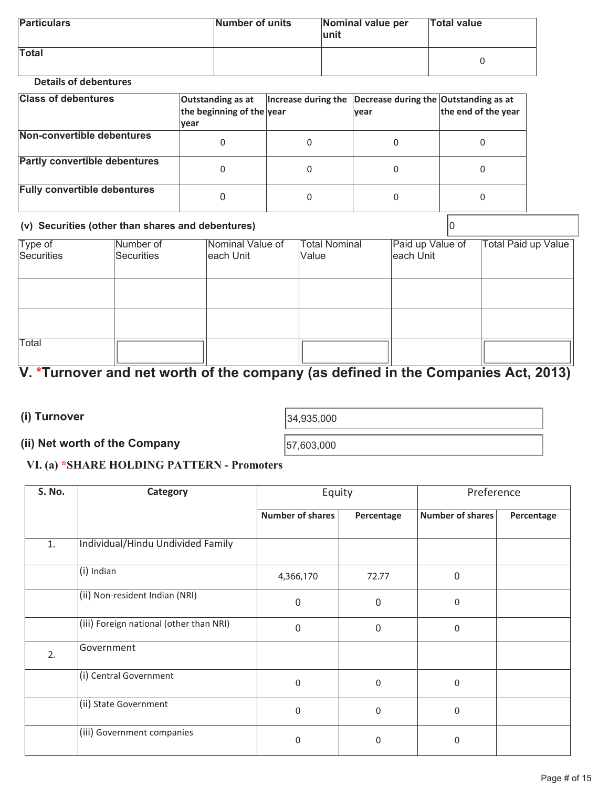| <b>Particulars</b> | Number of units | Nominal value per<br>lunit | <b>Total value</b> |
|--------------------|-----------------|----------------------------|--------------------|
| <b>Total</b>       |                 |                            |                    |

#### **Details of debentures**

| <b>Class of debentures</b>           | Outstanding as at<br>the beginning of the year<br><u> vear</u> | Increase during the Decrease during the Outstanding as at | <b>vear</b> | the end of the year |
|--------------------------------------|----------------------------------------------------------------|-----------------------------------------------------------|-------------|---------------------|
| Non-convertible debentures           |                                                                | 0                                                         |             |                     |
| <b>Partly convertible debentures</b> |                                                                | 0                                                         |             |                     |
| <b>Fully convertible debentures</b>  |                                                                | 0                                                         |             |                     |

#### **(v) Securities (other than shares and debentures)** 0

| Type of    | Number of  | Nominal Value of | <b>Total Nominal</b> | Paid up Value of | <b>Total Paid up Value</b> |
|------------|------------|------------------|----------------------|------------------|----------------------------|
| Securities | Securities | each Unit        | Value                | each Unit        |                            |
|            |            |                  |                      |                  |                            |
|            |            |                  |                      |                  |                            |
|            |            |                  |                      |                  |                            |
|            |            |                  |                      |                  |                            |
|            |            |                  |                      |                  |                            |
| Total      |            |                  |                      |                  |                            |
|            |            |                  |                      |                  |                            |

# **V. \*Turnover and net worth of the company (as defined in the Companies Act, 2013)**

**(i) Turnover**  (1) Turnover  $34,935,000$ 

# **(ii) Net worth of the Company**  57,603,000

### **VI. (a) \*SHARE HOLDING PATTERN - Promoters**

| S. No. | Category                                | Equity                  |                  | Preference       |            |
|--------|-----------------------------------------|-------------------------|------------------|------------------|------------|
|        |                                         | <b>Number of shares</b> | Percentage       | Number of shares | Percentage |
| 1.     | Individual/Hindu Undivided Family       |                         |                  |                  |            |
|        | (i) Indian                              | 4,366,170               | 72.77            | $\Omega$         |            |
|        | (ii) Non-resident Indian (NRI)          | $\Omega$                | 0                | 0                |            |
|        | (iii) Foreign national (other than NRI) | 0                       | $\boldsymbol{0}$ | 0                |            |
| 2.     | Government                              |                         |                  |                  |            |
|        | (i) Central Government                  | $\mathbf 0$             | $\mathbf 0$      | $\Omega$         |            |
|        | (ii) State Government                   | $\mathbf{0}$            | $\mathbf 0$      | $\mathbf{0}$     |            |
|        | (iii) Government companies              | $\mathbf{0}$            | $\mathbf 0$      | $\Omega$         |            |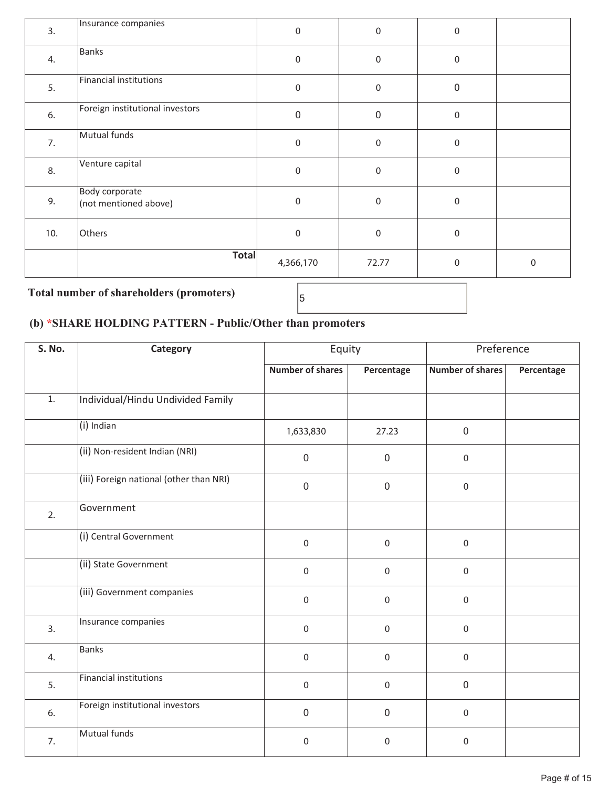| 3.  | Insurance companies                     | $\pmb{0}$   | $\pmb{0}$        | $\boldsymbol{0}$ |                     |
|-----|-----------------------------------------|-------------|------------------|------------------|---------------------|
| 4.  | Banks                                   | $\pmb{0}$   | $\boldsymbol{0}$ | $\boldsymbol{0}$ |                     |
| 5.  | Financial institutions                  | $\pmb{0}$   | $\boldsymbol{0}$ | $\mathbf 0$      |                     |
| 6.  | Foreign institutional investors         | $\pmb{0}$   | $\boldsymbol{0}$ | $\boldsymbol{0}$ |                     |
| 7.  | Mutual funds                            | $\pmb{0}$   | $\boldsymbol{0}$ | $\boldsymbol{0}$ |                     |
| 8.  | Venture capital                         | $\pmb{0}$   | $\boldsymbol{0}$ | $\boldsymbol{0}$ |                     |
| 9.  | Body corporate<br>(not mentioned above) | $\pmb{0}$   | $\boldsymbol{0}$ | $\boldsymbol{0}$ |                     |
| 10. | Others                                  | $\mathbf 0$ | $\boldsymbol{0}$ | $\boldsymbol{0}$ |                     |
|     | <b>Total</b>                            | 4,366,170   | 72.77            | $\mathbf 0$      | $\mathsf{O}\xspace$ |

# **Total number of shareholders (promoters)** <sup>5</sup>

## **(b) \*SHARE HOLDING PATTERN - Public/Other than promoters**

| S. No.           | Category                                | Equity                  |                  | Preference              |            |  |
|------------------|-----------------------------------------|-------------------------|------------------|-------------------------|------------|--|
|                  |                                         | <b>Number of shares</b> | Percentage       | <b>Number of shares</b> | Percentage |  |
| $\overline{1}$ . | Individual/Hindu Undivided Family       |                         |                  |                         |            |  |
|                  | (i) Indian                              | 1,633,830               | 27.23            | $\boldsymbol{0}$        |            |  |
|                  | (ii) Non-resident Indian (NRI)          | $\mathbf 0$             | $\mathbf 0$      | $\mathsf{O}\xspace$     |            |  |
|                  | (iii) Foreign national (other than NRI) | $\mathbf 0$             | $\overline{0}$   | $\mathbf 0$             |            |  |
| 2.               | Government                              |                         |                  |                         |            |  |
|                  | (i) Central Government                  | $\mathbf 0$             | $\boldsymbol{0}$ | $\mathbf 0$             |            |  |
|                  | (ii) State Government                   | $\mathbf 0$             | $\boldsymbol{0}$ | $\mathbf 0$             |            |  |
|                  | (iii) Government companies              | $\mathbf 0$             | $\Omega$         | $\mathbf 0$             |            |  |
| 3.               | Insurance companies                     | $\mathbf 0$             | 0                | $\mathbf 0$             |            |  |
| 4.               | <b>Banks</b>                            | $\mathbf 0$             | $\Omega$         | $\mathbf 0$             |            |  |
| 5.               | Financial institutions                  | $\mathbf 0$             | $\boldsymbol{0}$ | $\mathbf 0$             |            |  |
| 6.               | Foreign institutional investors         | $\mathbf 0$             | $\mathbf 0$      | $\mathbf 0$             |            |  |
| 7.               | Mutual funds                            | $\mathbf 0$             | $\boldsymbol{0}$ | $\mathbf 0$             |            |  |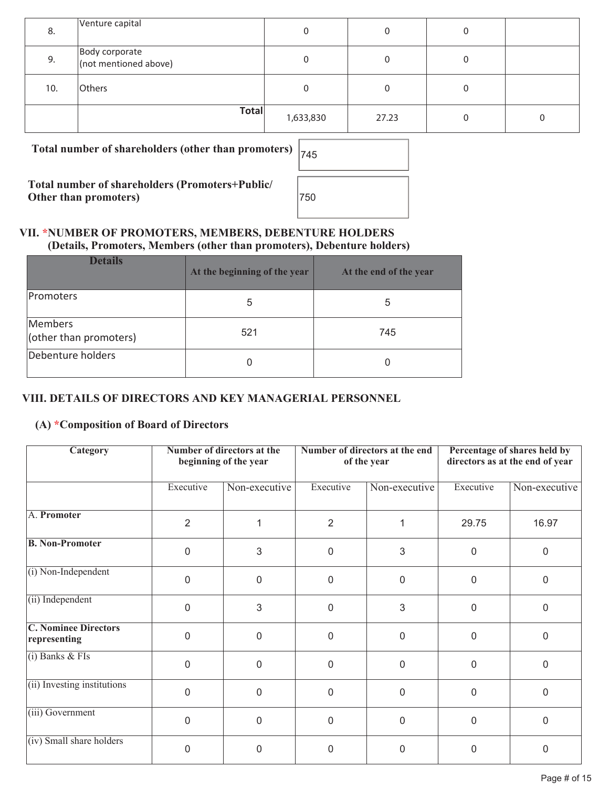| 8.  | Venture capital                         | 0         |       | 0 |  |
|-----|-----------------------------------------|-----------|-------|---|--|
| 9.  | Body corporate<br>(not mentioned above) | 0         |       |   |  |
| 10. | Others                                  | 0         |       |   |  |
|     | <b>Total</b>                            | 1,633,830 | 27.23 | U |  |

Total number of shareholders (other than promoters)

**Total number of shareholders (Promoters+Public/ Other than promoters)** 

| 745 |  |  |
|-----|--|--|
| 750 |  |  |

#### **VII. \*NUMBER OF PROMOTERS, MEMBERS, DEBENTURE HOLDERS (Details, Promoters, Members (other than promoters), Debenture holders)**

| <b>Details</b>                    | At the beginning of the year | At the end of the year |
|-----------------------------------|------------------------------|------------------------|
| Promoters                         | 5                            | 5                      |
| Members<br>(other than promoters) | 521                          | 745                    |
| Debenture holders                 |                              | O                      |

## **VIII. DETAILS OF DIRECTORS AND KEY MANAGERIAL PERSONNEL**

### **(A) \*Composition of Board of Directors**

| Number of directors at the<br>Category<br>beginning of the year |                |                | Number of directors at the end<br>of the year | Percentage of shares held by<br>directors as at the end of year |             |               |
|-----------------------------------------------------------------|----------------|----------------|-----------------------------------------------|-----------------------------------------------------------------|-------------|---------------|
|                                                                 | Executive      | Non-executive  | Executive                                     | Non-executive                                                   | Executive   | Non-executive |
| A. Promoter                                                     | $\overline{2}$ |                | $\overline{2}$                                |                                                                 | 29.75       | 16.97         |
| <b>B. Non-Promoter</b>                                          | $\Omega$       | 3              | $\overline{0}$                                | 3                                                               | 0           | $\mathbf 0$   |
| $(i)$ Non-Independent                                           | $\Omega$       | $\overline{0}$ | $\Omega$                                      | $\mathbf 0$                                                     | $\mathbf 0$ | $\mathbf 0$   |
| (ii) Independent                                                | $\overline{0}$ | 3              | $\Omega$                                      | 3                                                               | 0           | $\Omega$      |
| <b>C. Nominee Directors</b><br>representing                     | $\Omega$       | $\overline{0}$ | $\overline{0}$                                | $\Omega$                                                        | $\mathbf 0$ | $\Omega$      |
| $(i)$ Banks & FIs                                               | 0              | 0              | 0                                             | 0                                                               | 0           | $\mathbf 0$   |
| (ii) Investing institutions                                     | $\Omega$       | $\Omega$       | $\mathbf{0}$                                  | $\mathbf{0}$                                                    | $\mathbf 0$ | $\Omega$      |
| (iii) Government                                                | $\Omega$       | $\overline{0}$ | $\overline{0}$                                | $\mathbf{0}$                                                    | $\mathbf 0$ | $\Omega$      |
| (iv) Small share holders                                        | 0              | 0              | 0                                             | 0                                                               | 0           | 0             |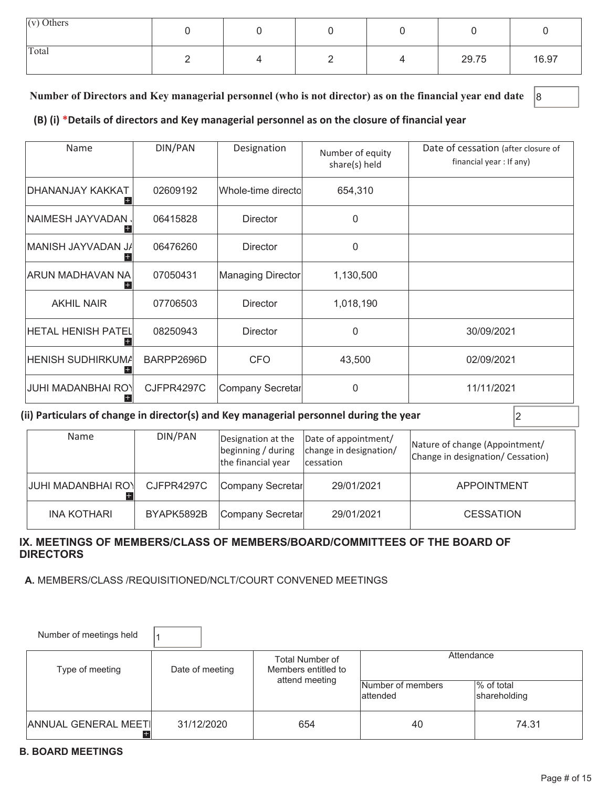| $(v)$ Others |  |  |       |       |
|--------------|--|--|-------|-------|
| Total        |  |  | 29.75 | 16.97 |

### **Number of Directors and Key managerial personnel (who is not director) as on the financial year end date** 8

#### **(B) (i) \*Details of directors and Key managerial personnel as on the closure of financial year**

| Name                       | DIN/PAN    | Designation        | Number of equity<br>share(s) held | Date of cessation (after closure of<br>financial year : If any) |
|----------------------------|------------|--------------------|-----------------------------------|-----------------------------------------------------------------|
| DHANANJAY KAKKAT           | 02609192   | Whole-time directo | 654,310                           |                                                                 |
| NAIMESH JAYVADAN .         | 06415828   | <b>Director</b>    | $\Omega$                          |                                                                 |
| MANISH JAYVADAN J <i>I</i> | 06476260   | <b>Director</b>    | 0                                 |                                                                 |
| ARUN MADHAVAN NA           | 07050431   | Managing Director  | 1,130,500                         |                                                                 |
| <b>AKHIL NAIR</b>          | 07706503   | <b>Director</b>    | 1,018,190                         |                                                                 |
| <b>HETAL HENISH PATEL</b>  | 08250943   | <b>Director</b>    | $\Omega$                          | 30/09/2021                                                      |
| HENISH SUDHIRKUMA          | BARPP2696D | <b>CFO</b>         | 43,500                            | 02/09/2021                                                      |
| <b>JUHI MADANBHAI ROY</b>  | CJFPR4297C | Company Secretar   | $\Omega$                          | 11/11/2021                                                      |

#### **(ii) Particulars of change in director(s) and Key managerial personnel during the year**  $\vert$ **2**

| Name               | DIN/PAN    | the financial year | Designation at the  Date of appointment/<br>beginning / during   change in designation/<br><i>cessation</i> | Nature of change (Appointment/<br>Change in designation/ Cessation) |
|--------------------|------------|--------------------|-------------------------------------------------------------------------------------------------------------|---------------------------------------------------------------------|
| JUHI MADANBHAI ROY | CJFPR4297C | Company Secretar   | 29/01/2021                                                                                                  | <b>APPOINTMENT</b>                                                  |
| <b>INA KOTHARI</b> | BYAPK5892B | Company Secretar   | 29/01/2021                                                                                                  | <b>CESSATION</b>                                                    |

#### **IX. MEETINGS OF MEMBERS/CLASS OF MEMBERS/BOARD/COMMITTEES OF THE BOARD OF DIRECTORS**

 **A.** MEMBERS/CLASS /REQUISITIONED/NCLT/COURT CONVENED MEETINGS

| Number of meetings held            |                 |                                        |                                |                            |
|------------------------------------|-----------------|----------------------------------------|--------------------------------|----------------------------|
| Type of meeting                    | Date of meeting | Total Number of<br>Members entitled to | Attendance                     |                            |
|                                    |                 | attend meeting                         | Number of members<br>lattended | % of total<br>shareholding |
| <b>ANNUAL GENERAL MEETI</b><br>$+$ | 31/12/2020      | 654                                    | 40                             | 74.31                      |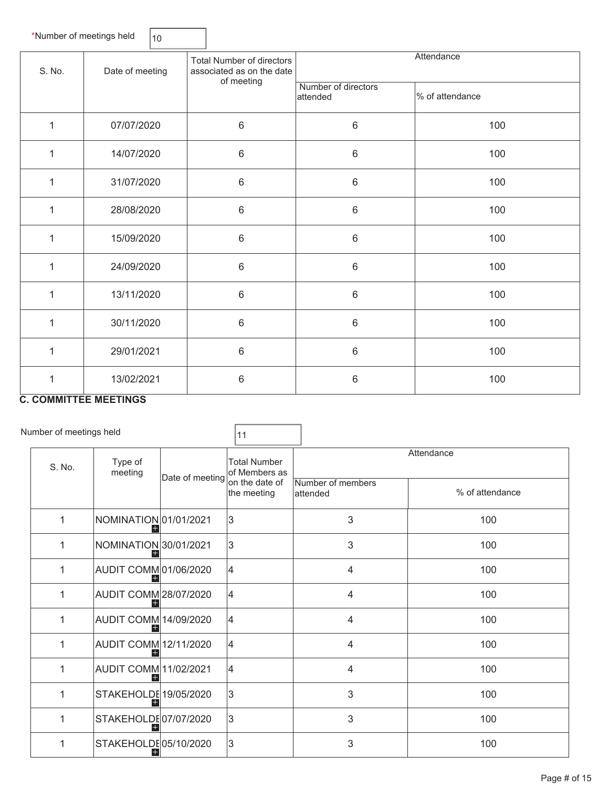|              | *Number of meetings held  | 10 |                                                                             |                                 |                 |  |
|--------------|---------------------------|----|-----------------------------------------------------------------------------|---------------------------------|-----------------|--|
| S. No.       | Date of meeting           |    | <b>Total Number of directors</b><br>associated as on the date<br>of meeting | Attendance                      |                 |  |
|              |                           |    |                                                                             | Number of directors<br>attended | % of attendance |  |
| 1            | 07/07/2020                |    | 6                                                                           | $6\phantom{1}$                  | 100             |  |
| $\mathbf{1}$ | 14/07/2020                |    | 6                                                                           | $\,6\,$                         | 100             |  |
| 1            | 31/07/2020                |    | 6                                                                           | $\,6\,$                         | 100             |  |
| 1            | 28/08/2020                |    | 6                                                                           | $\,6\,$                         | 100             |  |
| 1            | 15/09/2020                |    | 6                                                                           | $6\phantom{1}$                  | 100             |  |
| 1            | 24/09/2020                |    | 6                                                                           | $\,6\,$                         | 100             |  |
| 1            | 13/11/2020                |    | 6                                                                           | $\,6\,$                         | 100             |  |
| 1            | 30/11/2020                |    | 6                                                                           | $\,6\,$                         | 100             |  |
| $\mathbf{1}$ | 29/01/2021                |    | 6                                                                           | $\,6\,$                         | 100             |  |
| $\mathbf{1}$ | 13/02/2021<br>----------- |    | 6                                                                           | $6\phantom{1}$                  | 100             |  |

 $\overline{\phantom{0}}$ 

#### **C. COMMITTEE MEETINGS**

|        | Number of meetings held |                              |                 | 11                                                     |                                 |                 |  |
|--------|-------------------------|------------------------------|-----------------|--------------------------------------------------------|---------------------------------|-----------------|--|
| S. No. |                         | Type of<br>meeting           | Date of meeting | <b>Total Number</b><br>of Members as<br>on the date of | Attendance<br>Number of members |                 |  |
|        |                         |                              |                 | the meeting                                            | attended                        | % of attendance |  |
|        | 1                       | NOMINATION 01/01/2021        |                 | 3                                                      | 3                               | 100             |  |
|        | 1                       | NOMINATION 30/01/2021        |                 | 3                                                      | 3                               | 100             |  |
|        | 1                       | AUDIT COMM 01/06/2020        |                 | 4                                                      | $\overline{4}$                  | 100             |  |
|        | 1                       | <b>AUDIT COMM 28/07/2020</b> |                 | 4                                                      | 4                               | 100             |  |
|        | 1                       | <b>AUDIT COMM 14/09/2020</b> |                 | 4                                                      | 4                               | 100             |  |
|        | 1                       | AUDIT COMM 12/11/2020        |                 | 4                                                      | $\overline{4}$                  | 100             |  |
|        | 1                       | AUDIT COMM 11/02/2021        |                 | 4                                                      | $\overline{4}$                  | 100             |  |
|        | 1                       | STAKEHOLDE 19/05/2020        |                 | 3                                                      | 3                               | 100             |  |
|        | 1                       | STAKEHOLDE07/07/2020         |                 | 3                                                      | 3                               | 100             |  |
|        | 1                       | STAKEHOLDE05/10/2020         |                 | 3                                                      | 3                               | 100             |  |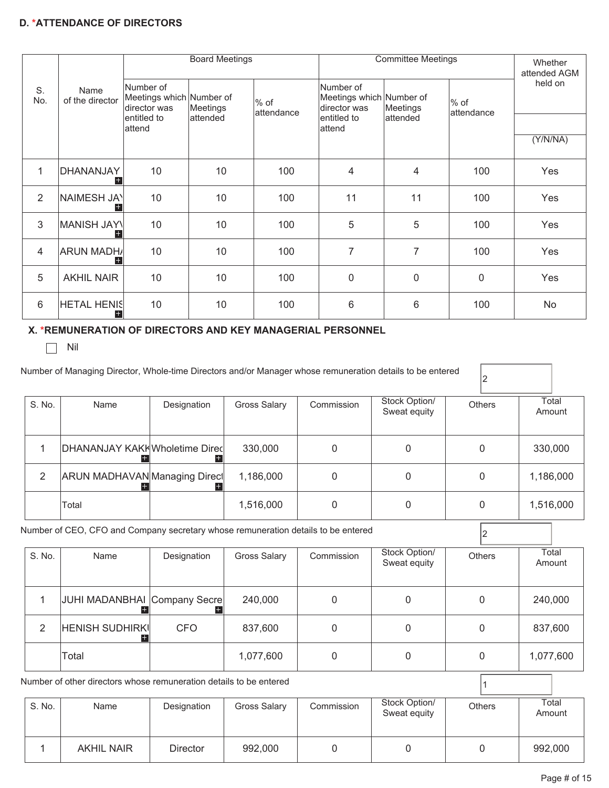#### **D. \*ATTENDANCE OF DIRECTORS**

|                 |                           |                                                       | <b>Board Meetings</b> |                       | <b>Committee Meetings</b>                             |             |                    | Whether<br>attended AGM |
|-----------------|---------------------------|-------------------------------------------------------|-----------------------|-----------------------|-------------------------------------------------------|-------------|--------------------|-------------------------|
| S.<br>No.       | Name<br>of the director   | Number of<br>Meetings which Number of<br>director was | Meetings              | $%$ of<br>lattendance | Number of<br>Meetings which Number of<br>director was | Meetings    | % of<br>attendance | held on                 |
|                 |                           | entitled to<br>attend                                 | lattended             |                       | entitled to<br>attend                                 | attended    |                    |                         |
|                 |                           |                                                       |                       |                       |                                                       |             |                    | (Y/N/NA)                |
| $\mathbf{1}$    | DHANANJAY<br>$^+$         | 10                                                    | 10                    | 100                   | 4                                                     | 4           | 100                | Yes                     |
| $\overline{2}$  | NAIMESH JAY<br>$^+$       | 10                                                    | 10                    | 100                   | 11                                                    | 11          | 100                | Yes                     |
| 3               | MANISH JAYN<br>$^+$       | 10                                                    | 10                    | 100                   | 5                                                     | 5           | 100                | Yes                     |
| 4               | <b>ARUN MADHA</b>         | 10                                                    | 10                    | 100                   | $\overline{7}$                                        | 7           | 100                | Yes                     |
| 5               | <b>AKHIL NAIR</b>         | 10                                                    | 10                    | 100                   | $\mathbf 0$                                           | $\mathbf 0$ | $\Omega$           | Yes                     |
| $6\phantom{1}6$ | <b>HETAL HENIS</b><br>$+$ | 10                                                    | 10                    | 100                   | 6                                                     | 6           | 100                | No                      |

#### **X. \*REMUNERATION OF DIRECTORS AND KEY MANAGERIAL PERSONNEL**

 $\Box$  Nil

| S. No.       | Name                                                                                      | Designation | <b>Gross Salary</b> | Commission  | Stock Option/<br>Sweat equity | Others        | Total<br>Amount |
|--------------|-------------------------------------------------------------------------------------------|-------------|---------------------|-------------|-------------------------------|---------------|-----------------|
| 1            | DHANANJAY KAKI Wholetime Direc                                                            |             | 330,000             | 0           | $\Omega$                      | 0             | 330,000         |
| 2            | ARUN MADHAVAN Managing Direct                                                             |             | 1,186,000           | $\mathbf 0$ | 0                             | 0             | 1,186,000       |
|              | Total                                                                                     |             | 1,516,000           | $\mathbf 0$ | 0                             | $\mathbf 0$   | 1,516,000       |
| S. No.       | Number of CEO, CFO and Company secretary whose remuneration details to be entered<br>Name |             |                     | Commission  | Stock Option/                 | Others        | Total           |
|              |                                                                                           | Designation | <b>Gross Salary</b> |             | Sweat equity                  |               | Amount          |
| $\mathbf{1}$ | JUHI MADANBHAI Company Secre<br>H.                                                        |             | 240,000             | 0           | $\mathbf{0}$                  | $\mathbf{0}$  | 240,000         |
| 2            | <b>HENISH SUDHIRKI</b>                                                                    | <b>CFO</b>  | 837,600             | 0           | $\mathbf{0}$                  | 0             | 837,600         |
|              | Total                                                                                     |             | 1,077,600           | 0           | $\mathbf{0}$                  | 0             | 1,077,600       |
|              | Number of other directors whose remuneration details to be entered                        |             |                     |             |                               |               |                 |
| S. No.       | Name                                                                                      | Designation | <b>Gross Salary</b> | Commission  | Stock Option/<br>Sweat equity | <b>Others</b> | Total<br>Amount |

1 | AKHIL NAIR | Director | 992,000 | 0 | 0 | 0 | 992,000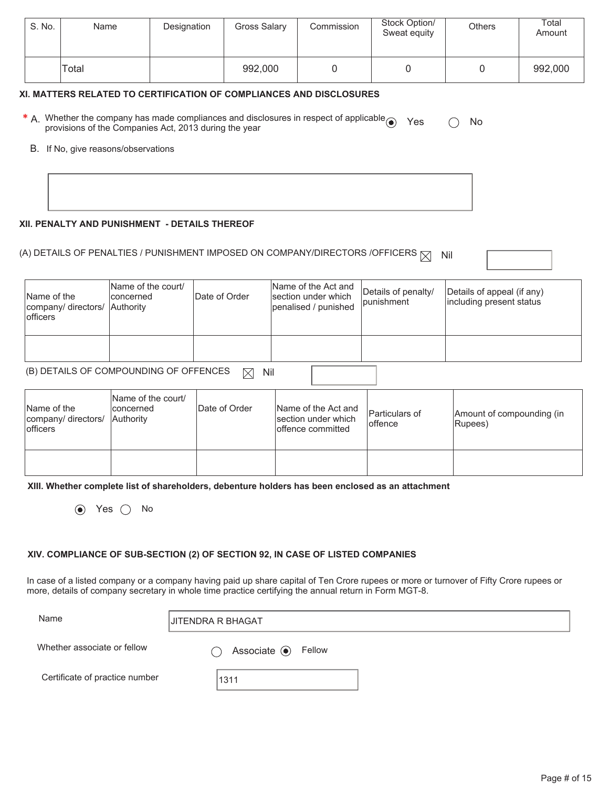| S. No. | Name  | Designation | Gross Salary | Commission | Stock Option/<br>Sweat equity | <b>Others</b> | Total<br>Amount |
|--------|-------|-------------|--------------|------------|-------------------------------|---------------|-----------------|
|        | Total |             | 992,000      |            |                               |               | 992,000         |

#### **XI. MATTERS RELATED TO CERTIFICATION OF COMPLIANCES AND DISCLOSURES**

| * A. Whether the company has made compliances and disclosures in respect of applicable $\odot$ Yes $\odot$ No |  |  |
|---------------------------------------------------------------------------------------------------------------|--|--|
| provisions of the Companies Act, 2013 during the year                                                         |  |  |

B. If No, give reasons/observations

#### **XII. PENALTY AND PUNISHMENT - DETAILS THEREOF**

# (A) DETAILS OF PENALTIES / PUNISHMENT IMPOSED ON COMPANY/DIRECTORS /OFFICERS  $\boxtimes$  Nil

| Name of the<br>company/ directors/ Authority<br><b>lofficers</b> | Name of the court/<br><b>concerned</b> | Date of Order | Name of the Act and<br>section under which<br>penalised / punished | Details of penalty/<br><i>bunishment</i> | Details of appeal (if any)<br>including present status |
|------------------------------------------------------------------|----------------------------------------|---------------|--------------------------------------------------------------------|------------------------------------------|--------------------------------------------------------|
|                                                                  |                                        |               |                                                                    |                                          |                                                        |

# (B) DETAILS OF COMPOUNDING OF OFFENCES  $\boxtimes$  Nil

| Name of the<br>company/ directors/ Authority<br><b>lofficers</b> | Name of the court/<br>Iconcerned | Date of Order | Name of the Act and<br>Isection under which<br>offence committed | Particulars of<br>loffence | Amount of compounding (in<br>Rupees) |
|------------------------------------------------------------------|----------------------------------|---------------|------------------------------------------------------------------|----------------------------|--------------------------------------|
|                                                                  |                                  |               |                                                                  |                            |                                      |

**XIII. Whether complete list of shareholders, debenture holders has been enclosed as an attachment** 

 $\odot$  Yes  $\odot$  No

#### **XIV. COMPLIANCE OF SUB-SECTION (2) OF SECTION 92, IN CASE OF LISTED COMPANIES**

In case of a listed company or a company having paid up share capital of Ten Crore rupees or more or turnover of Fifty Crore rupees or more, details of company secretary in whole time practice certifying the annual return in Form MGT-8.

Name JITENDRA R BHAGAT

Whether associate or fellow

 $\bigcirc$  Associate  $\bigcirc$  Fellow

Certificate of practice number | 1311